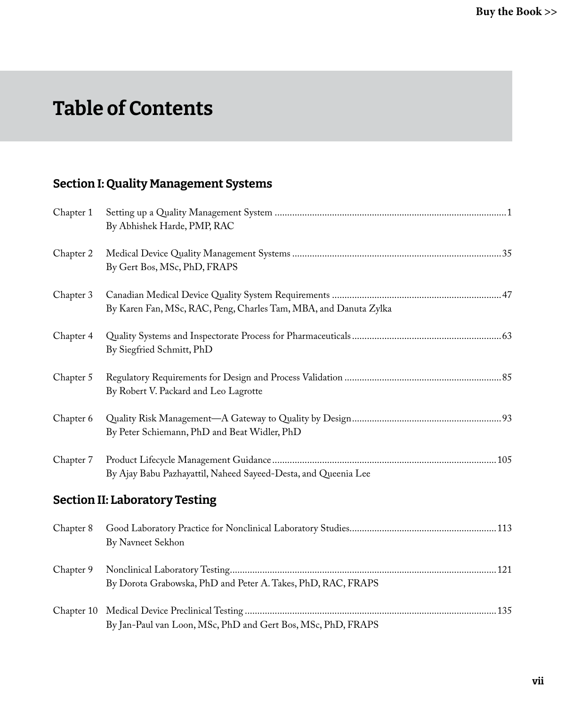# Table of Contents

### Section I: Quality Management Systems

| Chapter 1  | By Abhishek Harde, PMP, RAC                                      |
|------------|------------------------------------------------------------------|
| Chapter 2  | By Gert Bos, MSc, PhD, FRAPS                                     |
| Chapter 3  | By Karen Fan, MSc, RAC, Peng, Charles Tam, MBA, and Danuta Zylka |
| Chapter 4  | By Siegfried Schmitt, PhD                                        |
| Chapter 5  | By Robert V. Packard and Leo Lagrotte                            |
| Chapter 6  | By Peter Schiemann, PhD and Beat Widler, PhD                     |
| Chapter 7  | By Ajay Babu Pazhayattil, Naheed Sayeed-Desta, and Queenia Lee   |
|            | <b>Section II: Laboratory Testing</b>                            |
| Chapter 8  | By Navneet Sekhon                                                |
| Chapter 9  | By Dorota Grabowska, PhD and Peter A. Takes, PhD, RAC, FRAPS     |
| Chapter 10 | By Jan-Paul van Loon, MSc, PhD and Gert Bos, MSc, PhD, FRAPS     |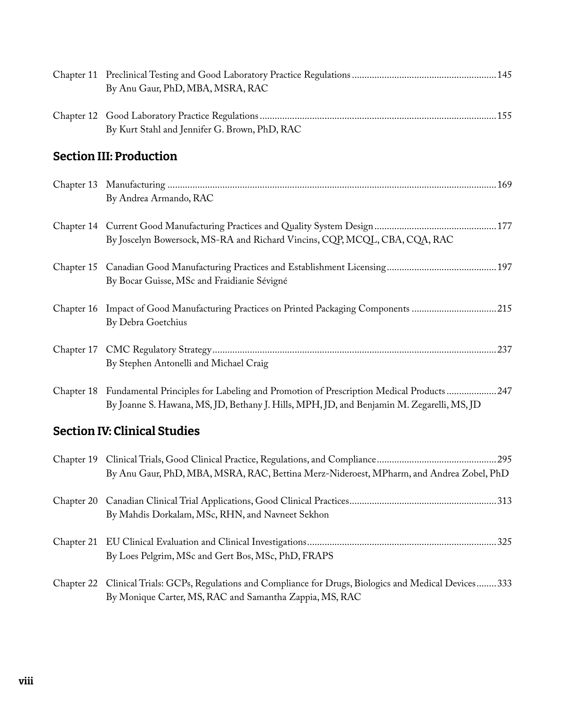|            | By Anu Gaur, PhD, MBA, MSRA, RAC                                                                                                                                                              |  |
|------------|-----------------------------------------------------------------------------------------------------------------------------------------------------------------------------------------------|--|
|            | By Kurt Stahl and Jennifer G. Brown, PhD, RAC                                                                                                                                                 |  |
|            | <b>Section III: Production</b>                                                                                                                                                                |  |
|            | By Andrea Armando, RAC                                                                                                                                                                        |  |
|            | By Joscelyn Bowersock, MS-RA and Richard Vincins, CQP, MCQL, CBA, CQA, RAC                                                                                                                    |  |
|            | By Bocar Guisse, MSc and Fraidianie Sévigné                                                                                                                                                   |  |
|            | Chapter 16 Impact of Good Manufacturing Practices on Printed Packaging Components 215<br>By Debra Goetchius                                                                                   |  |
|            | By Stephen Antonelli and Michael Craig                                                                                                                                                        |  |
|            | Chapter 18 Fundamental Principles for Labeling and Promotion of Prescription Medical Products247<br>By Joanne S. Hawana, MS, JD, Bethany J. Hills, MPH, JD, and Benjamin M. Zegarelli, MS, JD |  |
|            | <b>Section IV: Clinical Studies</b>                                                                                                                                                           |  |
|            | By Anu Gaur, PhD, MBA, MSRA, RAC, Bettina Merz-Nideroest, MPharm, and Andrea Zobel, PhD                                                                                                       |  |
|            | By Mahdis Dorkalam, MSc, RHN, and Navneet Sekhon                                                                                                                                              |  |
| Chapter 21 | By Loes Pelgrim, MSc and Gert Bos, MSc, PhD, FRAPS                                                                                                                                            |  |
| Chapter 22 | Clinical Trials: GCPs, Regulations and Compliance for Drugs, Biologics and Medical Devices 333<br>By Monique Carter, MS, RAC and Samantha Zappia, MS, RAC                                     |  |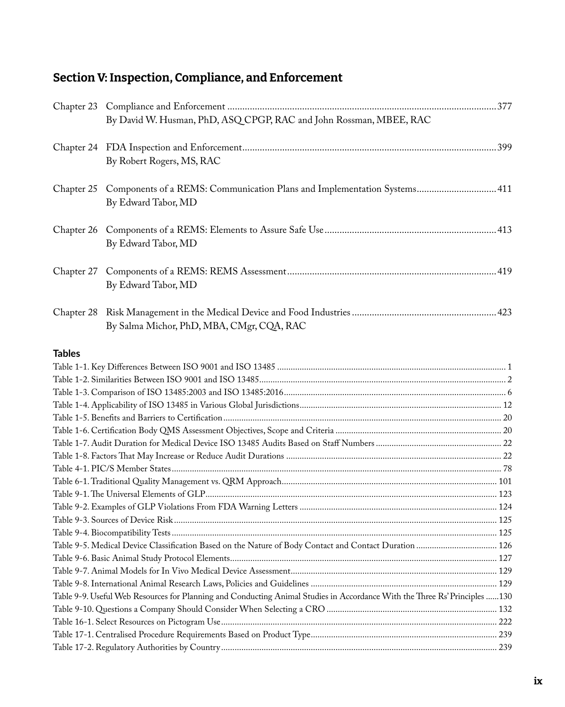## Section V: Inspection, Compliance, and Enforcement

|               | By David W. Husman, PhD, ASQ CPGP, RAC and John Rossman, MBEE, RAC                                                         |  |
|---------------|----------------------------------------------------------------------------------------------------------------------------|--|
|               |                                                                                                                            |  |
|               | By Robert Rogers, MS, RAC                                                                                                  |  |
|               | Chapter 25 Components of a REMS: Communication Plans and Implementation Systems 411<br>By Edward Tabor, MD                 |  |
| Chapter 26    | By Edward Tabor, MD                                                                                                        |  |
|               | By Edward Tabor, MD                                                                                                        |  |
|               | By Salma Michor, PhD, MBA, CMgr, CQA, RAC                                                                                  |  |
| <b>Tables</b> |                                                                                                                            |  |
|               |                                                                                                                            |  |
|               |                                                                                                                            |  |
|               |                                                                                                                            |  |
|               |                                                                                                                            |  |
|               |                                                                                                                            |  |
|               |                                                                                                                            |  |
|               |                                                                                                                            |  |
|               |                                                                                                                            |  |
|               |                                                                                                                            |  |
|               |                                                                                                                            |  |
|               |                                                                                                                            |  |
|               |                                                                                                                            |  |
|               |                                                                                                                            |  |
|               |                                                                                                                            |  |
|               |                                                                                                                            |  |
|               |                                                                                                                            |  |
|               |                                                                                                                            |  |
|               |                                                                                                                            |  |
|               | Table 9-9. Useful Web Resources for Planning and Conducting Animal Studies in Accordance With the Three Rs' Principles 130 |  |
|               |                                                                                                                            |  |
|               |                                                                                                                            |  |
|               |                                                                                                                            |  |
|               |                                                                                                                            |  |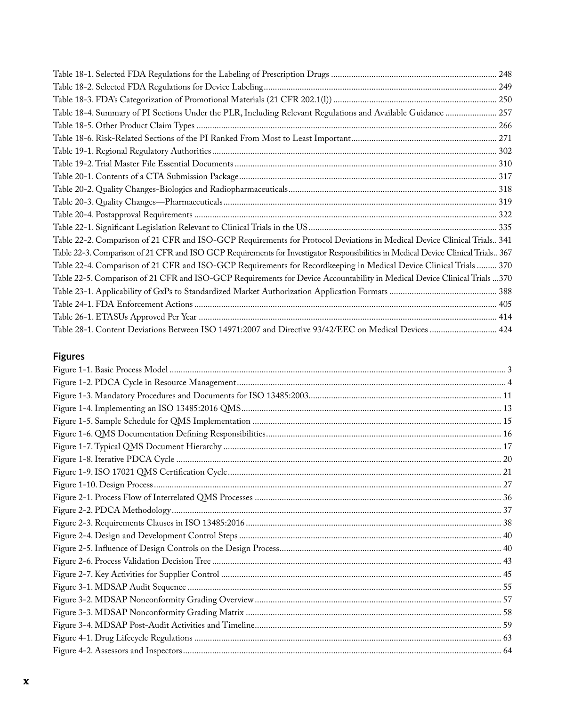| Table 18-4. Summary of PI Sections Under the PLR, Including Relevant Regulations and Available Guidance  257                      |  |
|-----------------------------------------------------------------------------------------------------------------------------------|--|
|                                                                                                                                   |  |
|                                                                                                                                   |  |
|                                                                                                                                   |  |
|                                                                                                                                   |  |
|                                                                                                                                   |  |
|                                                                                                                                   |  |
|                                                                                                                                   |  |
|                                                                                                                                   |  |
|                                                                                                                                   |  |
| Table 22-2. Comparison of 21 CFR and ISO-GCP Requirements for Protocol Deviations in Medical Device Clinical Trials 341           |  |
| Table 22-3. Comparison of 21 CFR and ISO GCP Requirements for Investigator Responsibilities in Medical Device Clinical Trials 367 |  |
| Table 22-4. Comparison of 21 CFR and ISO-GCP Requirements for Recordkeeping in Medical Device Clinical Trials  370                |  |
| Table 22-5. Comparison of 21 CFR and ISO-GCP Requirements for Device Accountability in Medical Device Clinical Trials  370        |  |
|                                                                                                                                   |  |
|                                                                                                                                   |  |
|                                                                                                                                   |  |
| Table 28-1. Content Deviations Between ISO 14971:2007 and Directive 93/42/EEC on Medical Devices  424                             |  |

#### **Figures**